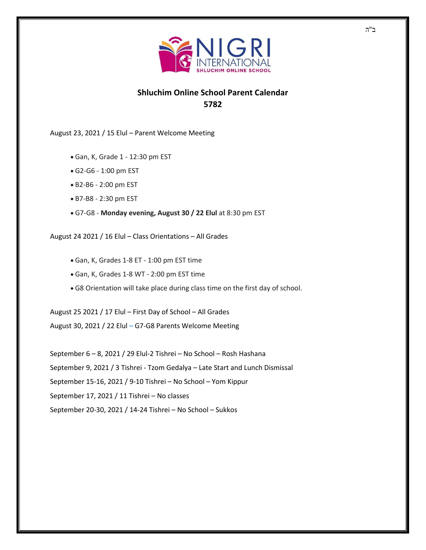

## **Shluchim Online School Parent Calendar 5782**

August 23, 2021 / 15 Elul – Parent Welcome Meeting

- Gan, K, Grade 1 12:30 pm EST
- G2-G6 1:00 pm EST
- B2-B6 2:00 pm EST
- B7-B8 2:30 pm EST
- G7-G8 **Monday evening, August 30 / 22 Elul** at 8:30 pm EST

August 24 2021 / 16 Elul – Class Orientations – All Grades

- Gan, K, Grades 1-8 ET 1:00 pm EST time
- Gan, K, Grades 1-8 WT 2:00 pm EST time
- G8 Orientation will take place during class time on the first day of school.

August 25 2021 / 17 Elul – First Day of School – All Grades August 30, 2021 / 22 Elul – G7-G8 Parents Welcome Meeting

September 6 – 8, 2021 / 29 Elul-2 Tishrei – No School – Rosh Hashana September 9, 2021 / 3 Tishrei - Tzom Gedalya – Late Start and Lunch Dismissal September 15-16, 2021 / 9-10 Tishrei – No School – Yom Kippur September 17, 2021 / 11 Tishrei – No classes September 20-30, 2021 / 14-24 Tishrei – No School – Sukkos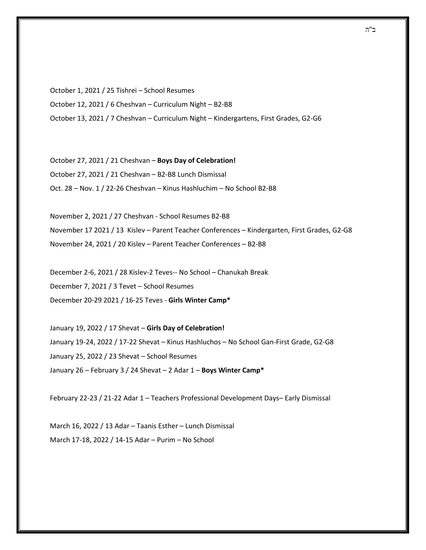October 1, 2021 / 25 Tishrei – School Resumes October 12, 2021 / 6 Cheshvan – Curriculum Night – B2-B8 October 13, 2021 / 7 Cheshvan – Curriculum Night – Kindergartens, First Grades, G2-G6

October 27, 2021 / 21 Cheshvan – **Boys Day of Celebration!**  October 27, 2021 / 21 Cheshvan – B2-B8 Lunch Dismissal Oct. 28 – Nov. 1 / 22-26 Cheshvan – Kinus Hashluchim – No School B2-B8

November 2, 2021 / 27 Cheshvan - School Resumes B2-B8 November 17 2021 / 13 Kislev – Parent Teacher Conferences – Kindergarten, First Grades, G2-G8 November 24, 2021 / 20 Kislev – Parent Teacher Conferences – B2-B8

December 2-6, 2021 / 28 Kislev-2 Teves-- No School – Chanukah Break December 7, 2021 / 3 Tevet – School Resumes December 20-29 2021 / 16-25 Teves - **Girls Winter Camp\***

January 19, 2022 / 17 Shevat – **Girls Day of Celebration!** January 19-24, 2022 / 17-22 Shevat – Kinus Hashluchos – No School Gan-First Grade, G2-G8 January 25, 2022 / 23 Shevat – School Resumes January 26 – February 3 / 24 Shevat – 2 Adar 1 – **Boys Winter Camp\***

February 22-23 / 21-22 Adar 1 – Teachers Professional Development Days– Early Dismissal

March 16, 2022 / 13 Adar – Taanis Esther – Lunch Dismissal March 17-18, 2022 / 14-15 Adar – Purim – No School